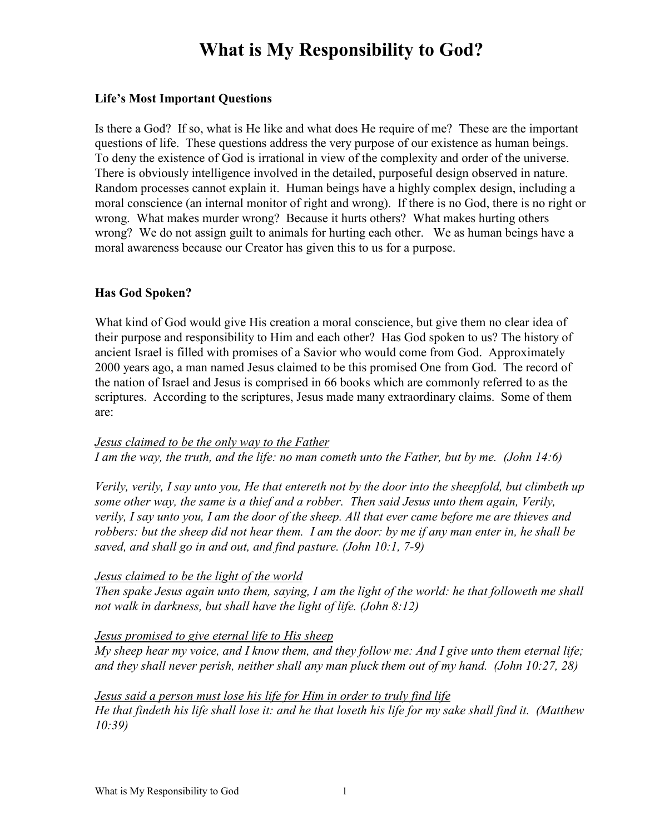### **Life's Most Important Questions**

Is there a God? If so, what is He like and what does He require of me? These are the important questions of life. These questions address the very purpose of our existence as human beings. To deny the existence of God is irrational in view of the complexity and order of the universe. There is obviously intelligence involved in the detailed, purposeful design observed in nature. Random processes cannot explain it. Human beings have a highly complex design, including a moral conscience (an internal monitor of right and wrong). If there is no God, there is no right or wrong. What makes murder wrong? Because it hurts others? What makes hurting others wrong? We do not assign guilt to animals for hurting each other. We as human beings have a moral awareness because our Creator has given this to us for a purpose.

### **Has God Spoken?**

What kind of God would give His creation a moral conscience, but give them no clear idea of their purpose and responsibility to Him and each other? Has God spoken to us? The history of ancient Israel is filled with promises of a Savior who would come from God. Approximately 2000 years ago, a man named Jesus claimed to be this promised One from God. The record of the nation of Israel and Jesus is comprised in 66 books which are commonly referred to as the scriptures. According to the scriptures, Jesus made many extraordinary claims. Some of them are:

#### *Jesus claimed to be the only way to the Father I am the way, the truth, and the life: no man cometh unto the Father, but by me. (John 14:6)*

*Verily, verily, I say unto you, He that entereth not by the door into the sheepfold, but climbeth up some other way, the same is a thief and a robber. Then said Jesus unto them again, Verily, verily, I say unto you, I am the door of the sheep. All that ever came before me are thieves and robbers: but the sheep did not hear them. I am the door: by me if any man enter in, he shall be saved, and shall go in and out, and find pasture. (John 10:1, 7-9)* 

## *Jesus claimed to be the light of the world*

*Then spake Jesus again unto them, saying, I am the light of the world: he that followeth me shall not walk in darkness, but shall have the light of life. (John 8:12)* 

#### *Jesus promised to give eternal life to His sheep*

*My sheep hear my voice, and I know them, and they follow me: And I give unto them eternal life; and they shall never perish, neither shall any man pluck them out of my hand. (John 10:27, 28)* 

## *Jesus said a person must lose his life for Him in order to truly find life*

 *He that findeth his life shall lose it: and he that loseth his life for my sake shall find it. (Matthew 10:39)*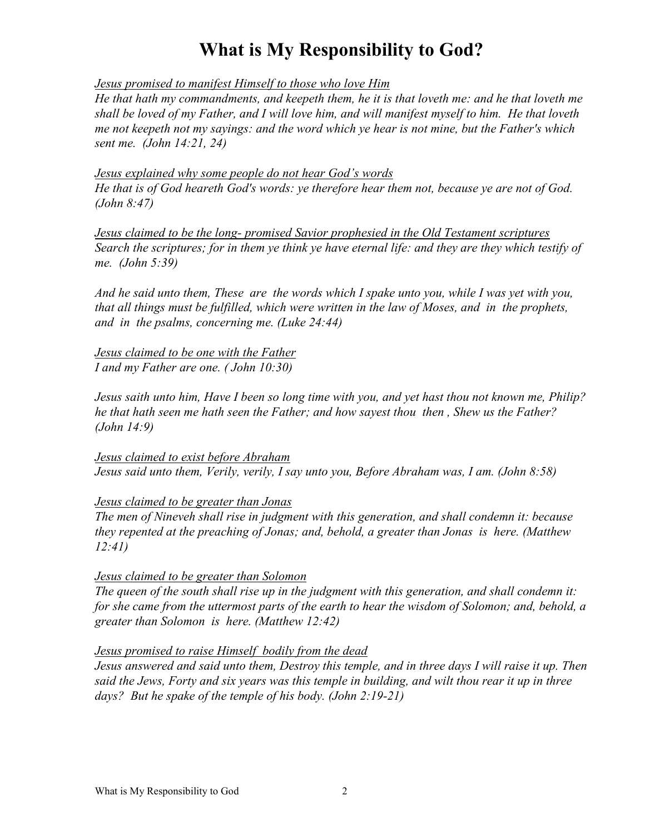*Jesus promised to manifest Himself to those who love Him*

*He that hath my commandments, and keepeth them, he it is that loveth me: and he that loveth me shall be loved of my Father, and I will love him, and will manifest myself to him. He that loveth me not keepeth not my sayings: and the word which ye hear is not mine, but the Father's which sent me. (John 14:21, 24)* 

 *Jesus explained why some people do not hear God's words He that is of God heareth God's words: ye therefore hear them not, because ye are not of God. (John 8:47)* 

*Jesus claimed to be the long- promised Savior prophesied in the Old Testament scriptures Search the scriptures; for in them ye think ye have eternal life: and they are they which testify of me. (John 5:39)* 

*And he said unto them, These are the words which I spake unto you, while I was yet with you, that all things must be fulfilled, which were written in the law of Moses, and in the prophets, and in the psalms, concerning me. (Luke 24:44)* 

*Jesus claimed to be one with the Father I and my Father are one. ( John 10:30)* 

*Jesus saith unto him, Have I been so long time with you, and yet hast thou not known me, Philip? he that hath seen me hath seen the Father; and how sayest thou then , Shew us the Father? (John 14:9)* 

*Jesus claimed to exist before Abraham Jesus said unto them, Verily, verily, I say unto you, Before Abraham was, I am. (John 8:58)* 

*Jesus claimed to be greater than Jonas*

*The men of Nineveh shall rise in judgment with this generation, and shall condemn it: because they repented at the preaching of Jonas; and, behold, a greater than Jonas is here. (Matthew 12:41)* 

## *Jesus claimed to be greater than Solomon*

*The queen of the south shall rise up in the judgment with this generation, and shall condemn it: for she came from the uttermost parts of the earth to hear the wisdom of Solomon; and, behold, a greater than Solomon is here. (Matthew 12:42)* 

#### *Jesus promised to raise Himself bodily from the dead*

*Jesus answered and said unto them, Destroy this temple, and in three days I will raise it up. Then said the Jews, Forty and six years was this temple in building, and wilt thou rear it up in three days? But he spake of the temple of his body. (John 2:19-21)*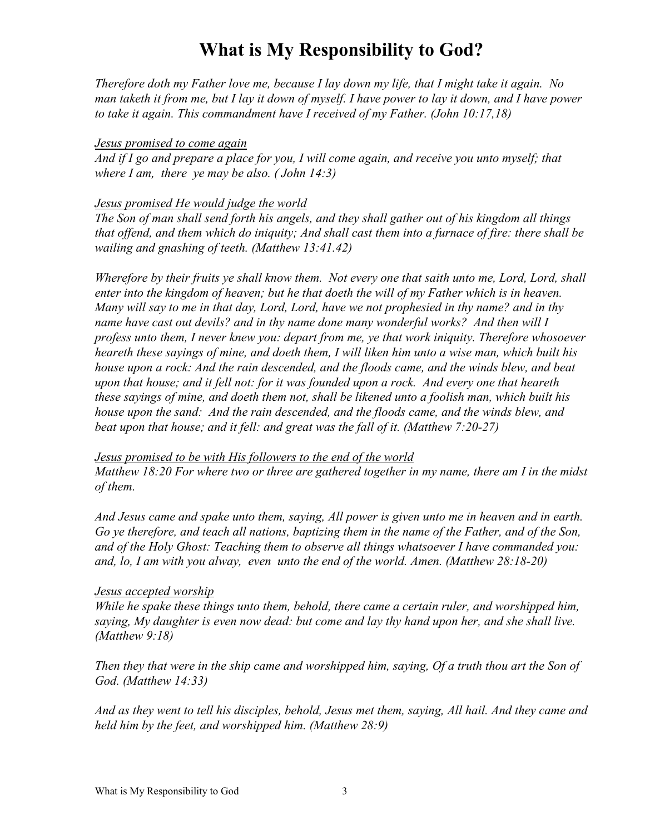*Therefore doth my Father love me, because I lay down my life, that I might take it again. No man taketh it from me, but I lay it down of myself. I have power to lay it down, and I have power to take it again. This commandment have I received of my Father. (John 10:17,18)* 

#### *Jesus promised to come again*

*And if I go and prepare a place for you, I will come again, and receive you unto myself; that where I am, there ye may be also. ( John 14:3)* 

### *Jesus promised He would judge the world*

*The Son of man shall send forth his angels, and they shall gather out of his kingdom all things that offend, and them which do iniquity; And shall cast them into a furnace of fire: there shall be wailing and gnashing of teeth. (Matthew 13:41.42)* 

*Wherefore by their fruits ye shall know them. Not every one that saith unto me, Lord, Lord, shall enter into the kingdom of heaven; but he that doeth the will of my Father which is in heaven. Many will say to me in that day, Lord, Lord, have we not prophesied in thy name? and in thy name have cast out devils? and in thy name done many wonderful works? And then will I profess unto them, I never knew you: depart from me, ye that work iniquity. Therefore whosoever heareth these sayings of mine, and doeth them, I will liken him unto a wise man, which built his house upon a rock: And the rain descended, and the floods came, and the winds blew, and beat upon that house; and it fell not: for it was founded upon a rock. And every one that heareth these sayings of mine, and doeth them not, shall be likened unto a foolish man, which built his house upon the sand: And the rain descended, and the floods came, and the winds blew, and beat upon that house; and it fell: and great was the fall of it. (Matthew 7:20-27)* 

## *Jesus promised to be with His followers to the end of the world*

*Matthew 18:20 For where two or three are gathered together in my name, there am I in the midst of them.* 

*And Jesus came and spake unto them, saying, All power is given unto me in heaven and in earth. Go ye therefore, and teach all nations, baptizing them in the name of the Father, and of the Son, and of the Holy Ghost: Teaching them to observe all things whatsoever I have commanded you: and, lo, I am with you alway, even unto the end of the world. Amen. (Matthew 28:18-20)* 

## *Jesus accepted worship*

*While he spake these things unto them, behold, there came a certain ruler, and worshipped him, saying, My daughter is even now dead: but come and lay thy hand upon her, and she shall live. (Matthew 9:18)* 

*Then they that were in the ship came and worshipped him, saying, Of a truth thou art the Son of God. (Matthew 14:33)* 

*And as they went to tell his disciples, behold, Jesus met them, saying, All hail. And they came and held him by the feet, and worshipped him. (Matthew 28:9)*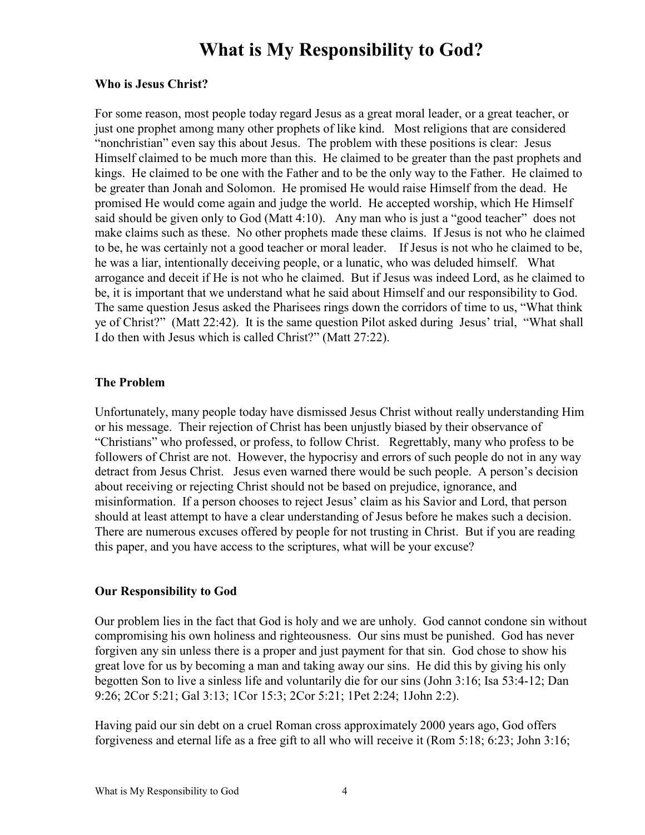### **Who is Jesus Christ?**

For some reason, most people today regard Jesus as a great moral leader, or a great teacher, or just one prophet among many other prophets of like kind. Most religions that are considered "nonchristian" even say this about Jesus. The problem with these positions is clear: Jesus Himself claimed to be much more than this. He claimed to be greater than the past prophets and kings. He claimed to be one with the Father and to be the only way to the Father. He claimed to be greater than Jonah and Solomon. He promised He would raise Himself from the dead. He promised He would come again and judge the world. He accepted worship, which He Himself said should be given only to God (Matt 4:10). Any man who is just a "good teacher" does not make claims such as these. No other prophets made these claims. If Jesus is not who he claimed to be, he was certainly not a good teacher or moral leader. If Jesus is not who he claimed to be, he was a liar, intentionally deceiving people, or a lunatic, who was deluded himself. What arrogance and deceit if He is not who he claimed. But if Jesus was indeed Lord, as he claimed to be, it is important that we understand what he said about Himself and our responsibility to God. The same question Jesus asked the Pharisees rings down the corridors of time to us, "What think ye of Christ?" (Matt 22:42). It is the same question Pilot asked during Jesus' trial, "What shall I do then with Jesus which is called Christ?" (Matt 27:22).

## **The Problem**

Unfortunately, many people today have dismissed Jesus Christ without really understanding Him or his message. Their rejection of Christ has been unjustly biased by their observance of "Christians" who professed, or profess, to follow Christ. Regrettably, many who profess to be followers of Christ are not. However, the hypocrisy and errors of such people do not in any way detract from Jesus Christ. Jesus even warned there would be such people. A person's decision about receiving or rejecting Christ should not be based on prejudice, ignorance, and misinformation. If a person chooses to reject Jesus' claim as his Savior and Lord, that person should at least attempt to have a clear understanding of Jesus before he makes such a decision. There are numerous excuses offered by people for not trusting in Christ. But if you are reading this paper, and you have access to the scriptures, what will be your excuse?

## **Our Responsibility to God**

 Our problem lies in the fact that God is holy and we are unholy. God cannot condone sin without compromising his own holiness and righteousness. Our sins must be punished. God has never forgiven any sin unless there is a proper and just payment for that sin. God chose to show his great love for us by becoming a man and taking away our sins. He did this by giving his only begotten Son to live a sinless life and voluntarily die for our sins (John 3:16; Isa 53:4-12; Dan 9:26; 2Cor 5:21; Gal 3:13; 1Cor 15:3; 2Cor 5:21; 1Pet 2:24; 1John 2:2).

 Having paid our sin debt on a cruel Roman cross approximately 2000 years ago, God offers forgiveness and eternal life as a free gift to all who will receive it (Rom 5:18; 6:23; John 3:16;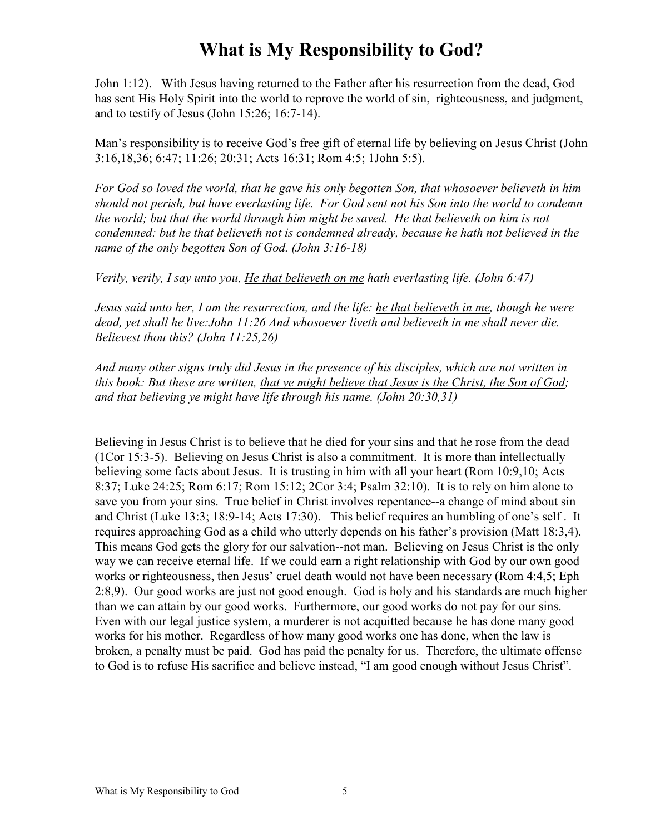John 1:12). With Jesus having returned to the Father after his resurrection from the dead, God has sent His Holy Spirit into the world to reprove the world of sin, righteousness, and judgment, and to testify of Jesus (John 15:26; 16:7-14).

 Man's responsibility is to receive God's free gift of eternal life by believing on Jesus Christ (John 3:16,18,36; 6:47; 11:26; 20:31; Acts 16:31; Rom 4:5; 1John 5:5).

*For God so loved the world, that he gave his only begotten Son, that whosoever believeth in him should not perish, but have everlasting life. For God sent not his Son into the world to condemn the world; but that the world through him might be saved. He that believeth on him is not condemned: but he that believeth not is condemned already, because he hath not believed in the name of the only begotten Son of God. (John 3:16-18)* 

*Verily, verily, I say unto you, He that believeth on me hath everlasting life. (John 6:47)* 

*Jesus said unto her, I am the resurrection, and the life: he that believeth in me, though he were dead, yet shall he live:John 11:26 And whosoever liveth and believeth in me shall never die. Believest thou this? (John 11:25,26)* 

*And many other signs truly did Jesus in the presence of his disciples, which are not written in this book: But these are written, that ye might believe that Jesus is the Christ, the Son of God; and that believing ye might have life through his name. (John 20:30,31)* 

 Believing in Jesus Christ is to believe that he died for your sins and that he rose from the dead (1Cor 15:3-5). Believing on Jesus Christ is also a commitment. It is more than intellectually believing some facts about Jesus. It is trusting in him with all your heart (Rom 10:9,10; Acts 8:37; Luke 24:25; Rom 6:17; Rom 15:12; 2Cor 3:4; Psalm 32:10). It is to rely on him alone to save you from your sins. True belief in Christ involves repentance--a change of mind about sin and Christ (Luke 13:3; 18:9-14; Acts 17:30). This belief requires an humbling of one's self . It requires approaching God as a child who utterly depends on his father's provision (Matt 18:3,4). This means God gets the glory for our salvation--not man. Believing on Jesus Christ is the only way we can receive eternal life. If we could earn a right relationship with God by our own good works or righteousness, then Jesus' cruel death would not have been necessary (Rom 4:4,5; Eph 2:8,9). Our good works are just not good enough. God is holy and his standards are much higher than we can attain by our good works. Furthermore, our good works do not pay for our sins. Even with our legal justice system, a murderer is not acquitted because he has done many good works for his mother. Regardless of how many good works one has done, when the law is broken, a penalty must be paid. God has paid the penalty for us. Therefore, the ultimate offense to God is to refuse His sacrifice and believe instead, "I am good enough without Jesus Christ".